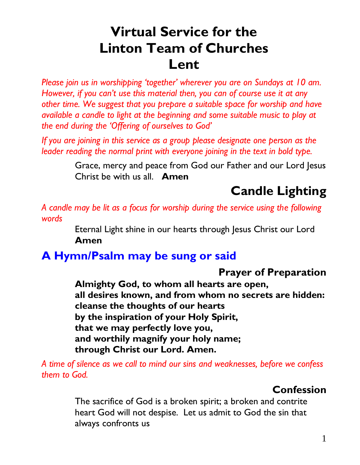# **Virtual Service for the Linton Team of Churches Lent**

*Please join us in worshipping 'together' wherever you are on Sundays at 10 am. However, if you can't use this material then, you can of course use it at any other time. We suggest that you prepare a suitable space for worship and have available a candle to light at the beginning and some suitable music to play at the end during the 'Offering of ourselves to God'* 

*If you are joining in this service as a group please designate one person as the leader reading the normal print with everyone joining in the text in bold type.* 

> Grace, mercy and peace from God our Father and our Lord Jesus Christ be with us all. **Amen**

# **Candle Lighting**

*A candle may be lit as a focus for worship during the service using the following words*

> Eternal Light shine in our hearts through Jesus Christ our Lord **Amen**

## **A Hymn/Psalm may be sung or said**

### **Prayer of Preparation**

**Almighty God, to whom all hearts are open, all desires known, and from whom no secrets are hidden: cleanse the thoughts of our hearts by the inspiration of your Holy Spirit, that we may perfectly love you, and worthily magnify your holy name; through Christ our Lord. Amen.**

*A time of silence as we call to mind our sins and weaknesses, before we confess them to God.*

### **Confession**

The sacrifice of God is a broken spirit; a broken and contrite heart God will not despise. Let us admit to God the sin that always confronts us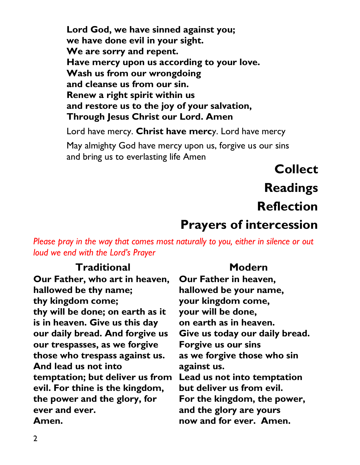**Lord God, we have sinned against you; we have done evil in your sight. We are sorry and repent. Have mercy upon us according to your love. Wash us from our wrongdoing and cleanse us from our sin. Renew a right spirit within us and restore us to the joy of your salvation, Through Jesus Christ our Lord. Amen** 

Lord have mercy. **Christ have merc**y. Lord have mercy

May almighty God have mercy upon us, forgive us our sins and bring us to everlasting life Amen

> **Collect Readings Reflection**

## **Prayers of intercession**

*Please pray in the way that comes most naturally to you, either in silence or out loud we end with the Lord's Prayer*

#### **Traditional**

**Our Father, who art in heaven, hallowed be thy name; thy kingdom come; thy will be done; on earth as it is in heaven. Give us this day our daily bread. And forgive us our trespasses, as we forgive those who trespass against us. And lead us not into temptation; but deliver us from Lead us not into temptation evil. For thine is the kingdom, the power and the glory, for ever and ever. Amen.**

#### **Modern**

**Our Father in heaven, hallowed be your name, your kingdom come, your will be done, on earth as in heaven. Give us today our daily bread. Forgive us our sins as we forgive those who sin against us. but deliver us from evil. For the kingdom, the power, and the glory are yours now and for ever. Amen.**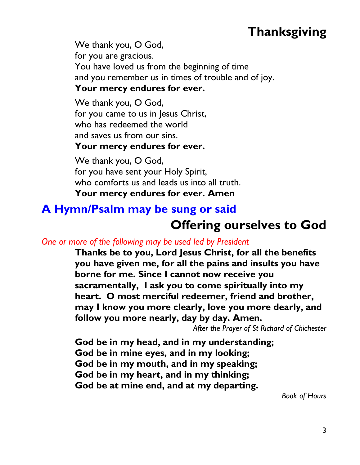# **Thanksgiving**

We thank you, O God, for you are gracious. You have loved us from the beginning of time and you remember us in times of trouble and of joy. **Your mercy endures for ever.**

We thank you, O God, for you came to us in Jesus Christ, who has redeemed the world and saves us from our sins.

#### **Your mercy endures for ever.**

We thank you, O God, for you have sent your Holy Spirit, who comforts us and leads us into all truth. **Your mercy endures for ever. Amen** 

## **A Hymn/Psalm may be sung or said Offering ourselves to God**

#### *One or more of the following may be used led by President*

**Thanks be to you, Lord Jesus Christ, for all the benefits you have given me, for all the pains and insults you have borne for me. Since I cannot now receive you sacramentally, I ask you to come spiritually into my heart. O most merciful redeemer, friend and brother, may I know you more clearly, love you more dearly, and follow you more nearly, day by day. Amen.** 

*After the Prayer of St Richard of Chichester* 

**God be in my head, and in my understanding; God be in mine eyes, and in my looking; God be in my mouth, and in my speaking; God be in my heart, and in my thinking; God be at mine end, and at my departing.**

*Book of Hours*